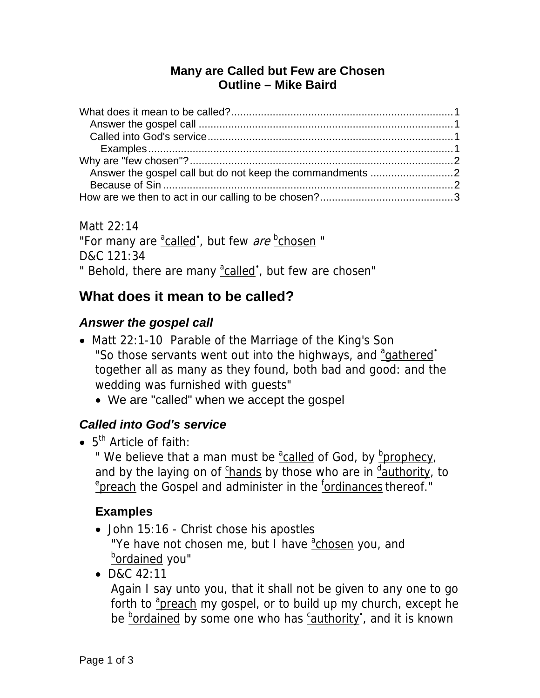#### **Many are Called but Few are Chosen Outline – Mike Baird**

Matt 22:14 "For many are  $\frac{a_{\text{called}}}{b}$ , but few *are*  $\frac{b_{\text{chosen}}}{c}$ " D&C 121:34 " Behold, there are many <sup>a</sup>called', but few are chosen"

# **What does it mean to be called?**

#### *Answer the gospel call*

- Matt 22:1-10 Parable of the Marriage of the King's Son "So those servants went out into the highways, and <sup>a</sup>gathered' together all as many as they found, both bad and good: and the wedding was furnished with guests"
	- We are "called" when we accept the gospel

## *Called into God's service*

 $\bullet$  5<sup>th</sup> Article of faith:

" We believe that a man must be <sup>a</sup>called of God, by **b**rophecy, and by the laying on of *chands* by those who are in dauthority, to <sup>e</sup>preach the Gospel and administer in the *fordinances* thereof."

## **Examples**

- John 15:16 Christ chose his apostles "Ye have not chosen me, but I have achosen you, and <sup>b</sup>ordained you"
- D&C 42:11

Again I say unto you, that it shall not be given to any one to go forth to <sup>a</sup>preach my gospel, or to build up my church, except he be **bordained by some one who has** *cauthority*, and it is known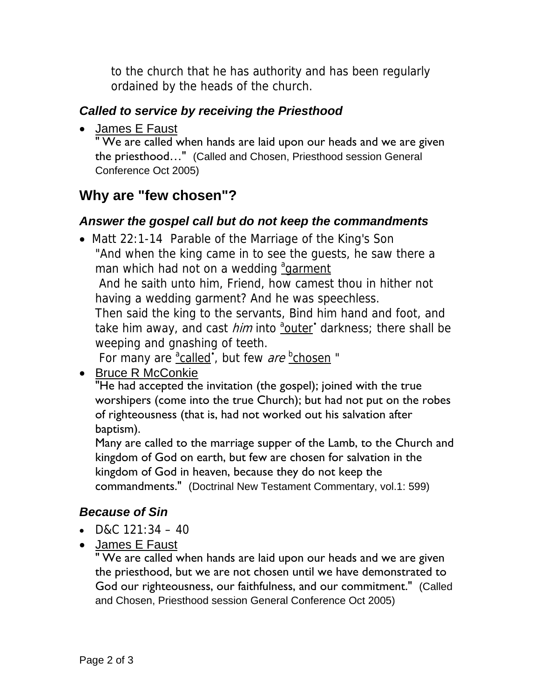to the church that he has authority and has been regularly ordained by the heads of the church.

#### *Called to service by receiving the Priesthood*

• James E Faust

" We are called when hands are laid upon our heads and we are given the priesthood…" (Called and Chosen, Priesthood session General Conference Oct 2005)

## **Why are "few chosen"?**

#### *Answer the gospel call but do not keep the commandments*

• Matt 22:1-14 Parable of the Marriage of the King's Son "And when the king came in to see the guests, he saw there a man which had not on a wedding and annent

 And he saith unto him, Friend, how camest thou in hither not having a wedding garment? And he was speechless.

Then said the king to the servants, Bind him hand and foot, and take him away, and cast *him* into <sup>a</sup>outer' darkness; there shall be weeping and gnashing of teeth.

For many are  $\frac{a_{\text{called}}}{b}$ , but few are  $\frac{b_{\text{chosen}}}{c}$ .

• Bruce R McConkie

"He had accepted the invitation (the gospel); joined with the true worshipers (come into the true Church); but had not put on the robes of righteousness (that is, had not worked out his salvation after baptism).

Many are called to the marriage supper of the Lamb, to the Church and kingdom of God on earth, but few are chosen for salvation in the kingdom of God in heaven, because they do not keep the commandments." (Doctrinal New Testament Commentary, vol.1: 599)

#### *Because of Sin*

- D&C  $121:34 40$
- James E Faust

" We are called when hands are laid upon our heads and we are given the priesthood, but we are not chosen until we have demonstrated to God our righteousness, our faithfulness, and our commitment." (Called and Chosen, Priesthood session General Conference Oct 2005)